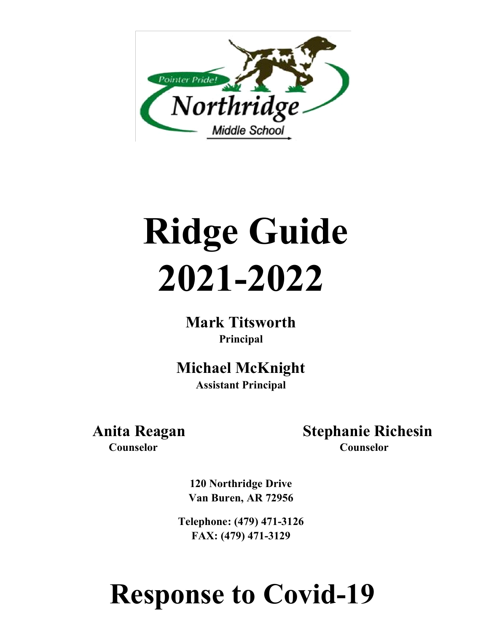

# **Ridge Guide 2021-2022**

**Mark Titsworth Principal**

**Michael McKnight Assistant Principal**

 **Anita Reagan Stephanie Richesin Counselor Counselor**

**120 Northridge Drive Van Buren, AR 72956** 

**Telephone: (479) 471-3126 FAX: (479) 471-3129** 

# **Response to Covid-19**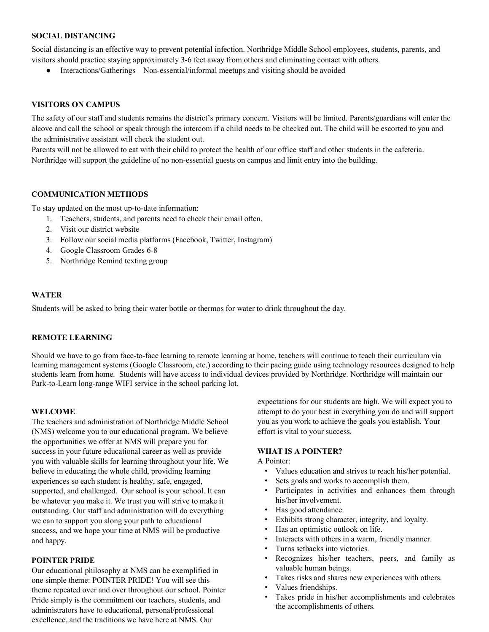#### **SOCIAL DISTANCING**

Social distancing is an effective way to prevent potential infection. Northridge Middle School employees, students, parents, and visitors should practice staying approximately 3-6 feet away from others and eliminating contact with others.

● Interactions/Gatherings – Non-essential/informal meetups and visiting should be avoided

#### **VISITORS ON CAMPUS**

The safety of our staff and students remains the district's primary concern. Visitors will be limited. Parents/guardians will enter the alcove and call the school or speak through the intercom if a child needs to be checked out. The child will be escorted to you and the administrative assistant will check the student out.

Parents will not be allowed to eat with their child to protect the health of our office staff and other students in the cafeteria. Northridge will support the guideline of no non-essential guests on campus and limit entry into the building.

#### **COMMUNICATION METHODS**

To stay updated on the most up-to-date information:

- 1. Teachers, students, and parents need to check their email often.
- 2. Visit our district website
- 3. Follow our social media platforms (Facebook, Twitter, Instagram)
- 4. Google Classroom Grades 6-8
- 5. Northridge Remind texting group

#### **WATER**

Students will be asked to bring their water bottle or thermos for water to drink throughout the day.

#### **REMOTE LEARNING**

Should we have to go from face-to-face learning to remote learning at home, teachers will continue to teach their curriculum via learning management systems (Google Classroom, etc.) according to their pacing guide using technology resources designed to help students learn from home. Students will have access to individual devices provided by Northridge. Northridge will maintain our Park-to-Learn long-range WIFI service in the school parking lot.

#### **WELCOME**

The teachers and administration of Northridge Middle School (NMS) welcome you to our educational program. We believe the opportunities we offer at NMS will prepare you for success in your future educational career as well as provide you with valuable skills for learning throughout your life. We believe in educating the whole child, providing learning experiences so each student is healthy, safe, engaged, supported, and challenged. Our school is your school. It can be whatever you make it. We trust you will strive to make it outstanding. Our staff and administration will do everything we can to support you along your path to educational success, and we hope your time at NMS will be productive and happy.

#### **POINTER PRIDE**

Our educational philosophy at NMS can be exemplified in one simple theme: POINTER PRIDE! You will see this theme repeated over and over throughout our school. Pointer Pride simply is the commitment our teachers, students, and administrators have to educational, personal/professional excellence, and the traditions we have here at NMS. Our

expectations for our students are high. We will expect you to attempt to do your best in everything you do and will support you as you work to achieve the goals you establish. Your effort is vital to your success.

#### **WHAT IS A POINTER?**

A Pointer:

- Values education and strives to reach his/her potential.
- Sets goals and works to accomplish them.
- Participates in activities and enhances them through his/her involvement.
- Has good attendance.
- Exhibits strong character, integrity, and loyalty.
- Has an optimistic outlook on life.
- Interacts with others in a warm, friendly manner.
- Turns setbacks into victories.
- Recognizes his/her teachers, peers, and family as valuable human beings.
- Takes risks and shares new experiences with others.
- Values friendships.
- Takes pride in his/her accomplishments and celebrates the accomplishments of others.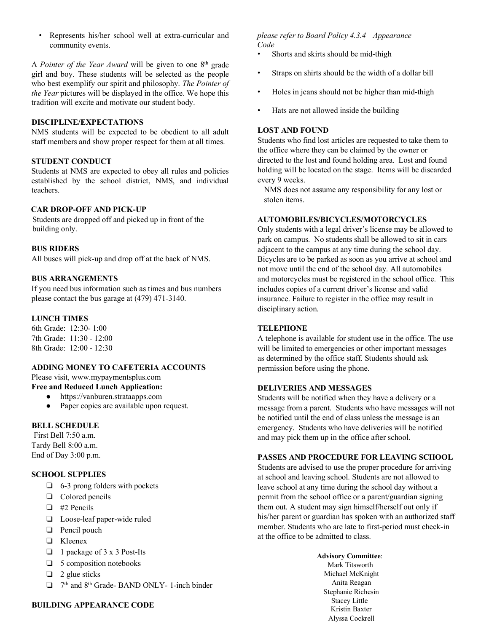• Represents his/her school well at extra-curricular and community events.

A *Pointer of the Year Award* will be given to one 8th grade girl and boy. These students will be selected as the people who best exemplify our spirit and philosophy. *The Pointer of the Year* pictures will be displayed in the office. We hope this tradition will excite and motivate our student body.

#### **DISCIPLINE/EXPECTATIONS**

NMS students will be expected to be obedient to all adult staff members and show proper respect for them at all times.

#### **STUDENT CONDUCT**

Students at NMS are expected to obey all rules and policies established by the school district, NMS, and individual teachers.

#### **CAR DROP-OFF AND PICK-UP**

Students are dropped off and picked up in front of the building only.

#### **BUS RIDERS**

All buses will pick-up and drop off at the back of NMS.

#### **BUS ARRANGEMENTS**

If you need bus information such as times and bus numbers please contact the bus garage at (479) 471-3140.

#### **LUNCH TIMES**

6th Grade: 12:30- 1:00 7th Grade: 11:30 - 12:00 8th Grade: 12:00 - 12:30

# **ADDING MONEY TO CAFETERIA ACCOUNTS**

Please visit[, www.my](http://www.mypaymentsplus.com/)paymentsplus.com

# **Free and Reduced Lunch Application:**

- https://vanburen.strataapps.com
- Paper copies are available upon request.

#### **BELL SCHEDULE**

First Bell 7:50 a.m. Tardy Bell 8:00 a.m. End of Day 3:00 p.m.

# **SCHOOL SUPPLIES**

- ❏ 6-3 prong folders with pockets
- ❏ Colored pencils
- ❏ #2 Pencils
- ❏ Loose-leaf paper-wide ruled
- ❏ Pencil pouch
- ❏ Kleenex
- ❏ 1 package of 3 x 3 Post-Its
- ❏ 5 composition notebooks
- $\Box$  2 glue sticks
- ❏ 7th and 8th Grade- BAND ONLY- 1-inch binder

#### **BUILDING APPEARANCE CODE**

*please refer to Board Policy 4.3.4—Appearance Code* 

- Shorts and skirts should be mid-thigh
- Straps on shirts should be the width of a dollar bill
- Holes in jeans should not be higher than mid-thigh
- Hats are not allowed inside the building

#### **LOST AND FOUND**

Students who find lost articles are requested to take them to the office where they can be claimed by the owner or directed to the lost and found holding area. Lost and found holding will be located on the stage. Items will be discarded every 9 weeks.

NMS does not assume any responsibility for any lost or stolen items.

#### **AUTOMOBILES/BICYCLES/MOTORCYCLES**

Only students with a legal driver's license may be allowed to park on campus. No students shall be allowed to sit in cars adjacent to the campus at any time during the school day. Bicycles are to be parked as soon as you arrive at school and not move until the end of the school day. All automobiles and motorcycles must be registered in the school office. This includes copies of a current driver's license and valid insurance. Failure to register in the office may result in disciplinary action.

#### **TELEPHONE**

A telephone is available for student use in the office. The use will be limited to emergencies or other important messages as determined by the office staff. Students should ask permission before using the phone.

#### **DELIVERIES AND MESSAGES**

Students will be notified when they have a delivery or a message from a parent. Students who have messages will not be notified until the end of class unless the message is an emergency. Students who have deliveries will be notified and may pick them up in the office after school.

#### **PASSES AND PROCEDURE FOR LEAVING SCHOOL**

Students are advised to use the proper procedure for arriving at school and leaving school. Students are not allowed to leave school at any time during the school day without a permit from the school office or a parent/guardian signing them out. A student may sign himself/herself out only if his/her parent or guardian has spoken with an authorized staff member. Students who are late to first-period must check-in at the office to be admitted to class.

> **Advisory Committee**: Mark Titsworth Michael McKnight Anita Reagan Stephanie Richesin Stacey Little Kristin Baxter Alyssa Cockrell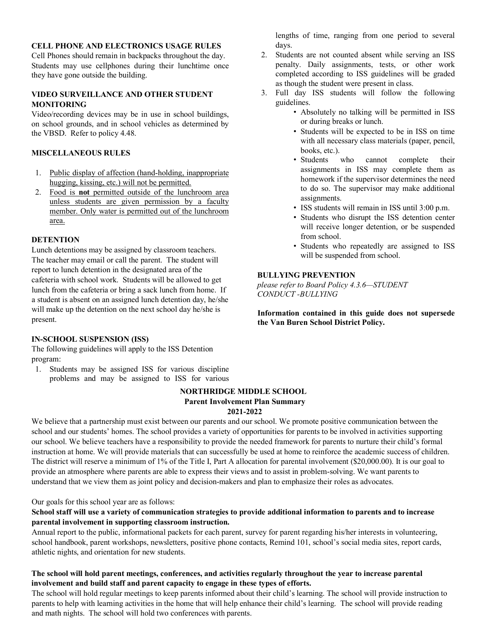# **CELL PHONE AND ELECTRONICS USAGE RULES**

Cell Phones should remain in backpacks throughout the day. Students may use cellphones during their lunchtime once they have gone outside the building.

#### **VIDEO SURVEILLANCE AND OTHER STUDENT MONITORING**

Video/recording devices may be in use in school buildings, on school grounds, and in school vehicles as determined by the VBSD. Refer to policy 4.48.

# **MISCELLANEOUS RULES**

- 1. Public display of affection (hand-holding, inappropriate hugging, kissing, etc.) will not be permitted.
- 2. Food is **not** permitted outside of the lunchroom area unless students are given permission by a faculty member. Only water is permitted out of the lunchroom area.

#### **DETENTION**

Lunch detentions may be assigned by classroom teachers. The teacher may email or call the parent. The student will report to lunch detention in the designated area of the cafeteria with school work. Students will be allowed to get lunch from the cafeteria or bring a sack lunch from home. If a student is absent on an assigned lunch detention day, he/she will make up the detention on the next school day he/she is present.

#### **IN-SCHOOL SUSPENSION (ISS)**

The following guidelines will apply to the ISS Detention program:

1. Students may be assigned ISS for various discipline problems and may be assigned to ISS for various

#### **NORTHRIDGE MIDDLE SCHOOL Parent Involvement Plan Summary 2021-2022**

We believe that a partnership must exist between our parents and our school. We promote positive communication between the school and our students' homes. The school provides a variety of opportunities for parents to be involved in activities supporting our school. We believe teachers have a responsibility to provide the needed framework for parents to nurture their child's formal instruction at home. We will provide materials that can successfully be used at home to reinforce the academic success of children. The district will reserve a minimum of 1% of the Title I, Part A allocation for parental involvement (\$20,000.00). It is our goal to provide an atmosphere where parents are able to express their views and to assist in problem-solving. We want parents to understand that we view them as joint policy and decision-makers and plan to emphasize their roles as advocates.

Our goals for this school year are as follows:

# **School staff will use a variety of communication strategies to provide additional information to parents and to increase parental involvement in supporting classroom instruction.**

Annual report to the public, informational packets for each parent, survey for parent regarding his/her interests in volunteering, school handbook, parent workshops, newsletters, positive phone contacts, Remind 101, school's social media sites, report cards, athletic nights, and orientation for new students.

# **The school will hold parent meetings, conferences, and activities regularly throughout the year to increase parental involvement and build staff and parent capacity to engage in these types of efforts.**

The school will hold regular meetings to keep parents informed about their child's learning. The school will provide instruction to parents to help with learning activities in the home that will help enhance their child's learning. The school will provide reading and math nights. The school will hold two conferences with parents.

lengths of time, ranging from one period to several days.

- 2. Students are not counted absent while serving an ISS penalty. Daily assignments, tests, or other work completed according to ISS guidelines will be graded as though the student were present in class.
- 3. Full day ISS students will follow the following guidelines.
	- Absolutely no talking will be permitted in ISS or during breaks or lunch.
	- Students will be expected to be in ISS on time with all necessary class materials (paper, pencil, books, etc.).
	- Students who cannot complete their assignments in ISS may complete them as homework if the supervisor determines the need to do so. The supervisor may make additional assignments.
	- ISS students will remain in ISS until 3:00 p.m.
	- Students who disrupt the ISS detention center will receive longer detention, or be suspended from school.
	- Students who repeatedly are assigned to ISS will be suspended from school.

#### **BULLYING PREVENTION**

*please refer to Board Policy 4.3.6—STUDENT CONDUCT -BULLYING*

**Information contained in this guide does not supersede the Van Buren School District Policy.**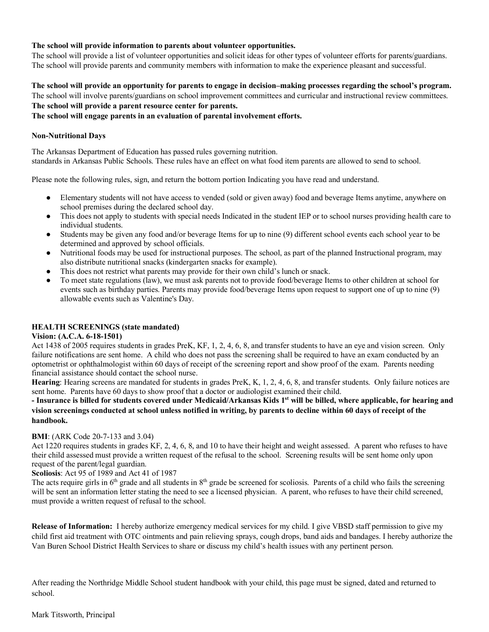# **The school will provide information to parents about volunteer opportunities.**

The school will provide a list of volunteer opportunities and solicit ideas for other types of volunteer efforts for parents/guardians. The school will provide parents and community members with information to make the experience pleasant and successful.

#### **The school will provide an opportunity for parents to engage in decision–making processes regarding the school's program.**

The school will involve parents/guardians on school improvement committees and curricular and instructional review committees. **The school will provide a parent resource center for parents.** 

**The school will engage parents in an evaluation of parental involvement efforts.**

# **Non-Nutritional Days**

The Arkansas Department of Education has passed rules governing nutrition. standards in Arkansas Public Schools. These rules have an effect on what food item parents are allowed to send to school.

Please note the following rules, sign, and return the bottom portion Indicating you have read and understand.

- Elementary students will not have access to vended (sold or given away) food and beverage Items anytime, anywhere on school premises during the declared school day.
- This does not apply to students with special needs Indicated in the student IEP or to school nurses providing health care to individual students.
- Students may be given any food and/or beverage Items for up to nine (9) different school events each school year to be determined and approved by school officials.
- Nutritional foods may be used for instructional purposes. The school, as part of the planned Instructional program, may also distribute nutritional snacks (kindergarten snacks for example).
- This does not restrict what parents may provide for their own child's lunch or snack.
- To meet state regulations (law), we must ask parents not to provide food/beverage Items to other children at school for events such as birthday parties. Parents may provide food/beverage Items upon request to support one of up to nine (9) allowable events such as Valentine's Day.

# **HEALTH SCREENINGS (state mandated)**

#### **Vision: (A.C.A. 6-18-1501)**

Act 1438 of 2005 requires students in grades PreK, KF, 1, 2, 4, 6, 8, and transfer students to have an eye and vision screen. Only failure notifications are sent home. A child who does not pass the screening shall be required to have an exam conducted by an optometrist or ophthalmologist within 60 days of receipt of the screening report and show proof of the exam. Parents needing financial assistance should contact the school nurse.

**Hearing**: Hearing screens are mandated for students in grades PreK, K, 1, 2, 4, 6, 8, and transfer students. Only failure notices are sent home. Parents have 60 days to show proof that a doctor or audiologist examined their child.

# **- Insurance is billed for students covered under Medicaid/Arkansas Kids 1st will be billed, where applicable, for hearing and vision screenings conducted at school unless notified in writing, by parents to decline within 60 days of receipt of the handbook.**

#### **BMI**: (ARK Code 20-7-133 and 3.04)

Act 1220 requires students in grades KF, 2, 4, 6, 8, and 10 to have their height and weight assessed. A parent who refuses to have their child assessed must provide a written request of the refusal to the school. Screening results will be sent home only upon request of the parent/legal guardian.

#### **Scoliosis**: Act 95 of 1989 and Act 41 of 1987

The acts require girls in 6<sup>th</sup> grade and all students in 8<sup>th</sup> grade be screened for scoliosis. Parents of a child who fails the screening will be sent an information letter stating the need to see a licensed physician. A parent, who refuses to have their child screened, must provide a written request of refusal to the school.

**Release of Information:** I hereby authorize emergency medical services for my child. I give VBSD staff permission to give my child first aid treatment with OTC ointments and pain relieving sprays, cough drops, band aids and bandages. I hereby authorize the Van Buren School District Health Services to share or discuss my child's health issues with any pertinent person.

After reading the Northridge Middle School student handbook with your child, this page must be signed, dated and returned to school.

#### Mark Titsworth, Principal